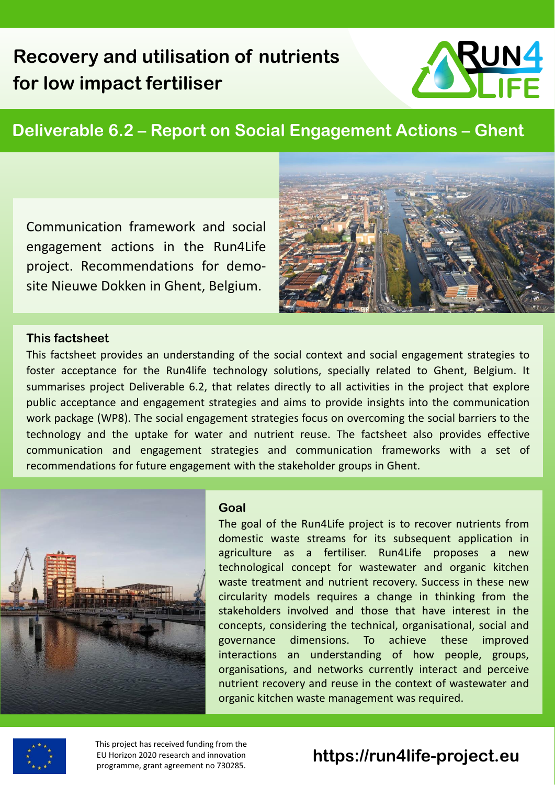# **Recovery and utilisation of nutrients for low impact fertiliser**

# UN4

# **Deliverable 6.2 – Report on Social Engagement Actions – Ghent**

Communication framework and social engagement actions in the Run4Life project. Recommendations for demosite Nieuwe Dokken in Ghent, Belgium.



#### **This factsheet**

This factsheet provides an understanding of the social context and social engagement strategies to foster acceptance for the Run4life technology solutions, specially related to Ghent, Belgium. It summarises project Deliverable 6.2, that relates directly to all activities in the project that explore public acceptance and engagement strategies and aims to provide insights into the communication work package (WP8). The social engagement strategies focus on overcoming the social barriers to the technology and the uptake for water and nutrient reuse. The factsheet also provides effective communication and engagement strategies and communication frameworks with a set of recommendations for future engagement with the stakeholder groups in Ghent.



#### **Goal**

The goal of the Run4Life project is to recover nutrients from domestic waste streams for its subsequent application in agriculture as a fertiliser. Run4Life proposes a new technological concept for wastewater and organic kitchen waste treatment and nutrient recovery. Success in these new circularity models requires a change in thinking from the stakeholders involved and those that have interest in the concepts, considering the technical, organisational, social and governance dimensions. To achieve these improved interactions an understanding of how people, groups, organisations, and networks currently interact and perceive nutrient recovery and reuse in the context of wastewater and organic kitchen waste management was required.



This project has received funding from the EU Horizon 2020 research and innovation programme, grant agreement no 730285.

# **https://run4life-project.eu**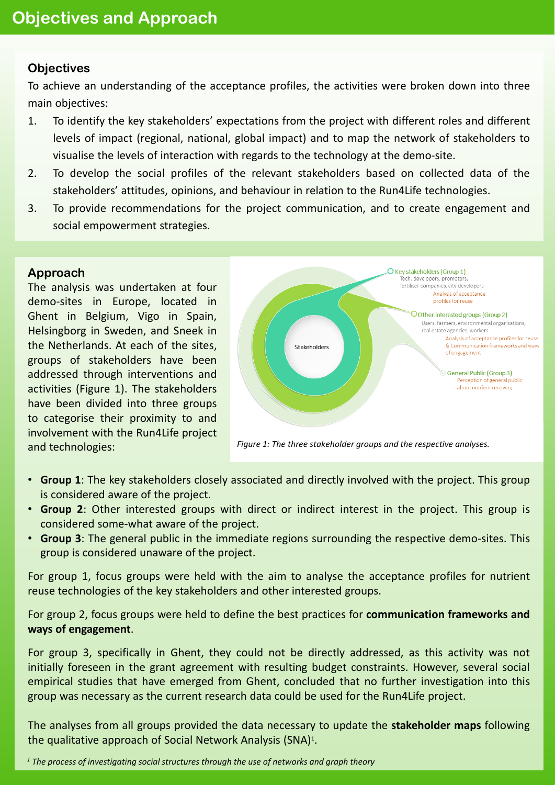## **Objectives**

To achieve an understanding of the acceptance profiles, the activities were broken down into three main objectives:

- 1. To identify the key stakeholders' expectations from the project with different roles and different levels of impact (regional, national, global impact) and to map the network of stakeholders to visualise the levels of interaction with regards to the technology at the demo-site.
- 2. To develop the social profiles of the relevant stakeholders based on collected data of the stakeholders' attitudes, opinions, and behaviour in relation to the Run4Life technologies.
- 3. To provide recommendations for the project communication, and to create engagement and social empowerment strategies.

#### **Approach**

The analysis was undertaken at four demo-sites in Europe, located in Ghent in Belgium, Vigo in Spain, Helsingborg in Sweden, and Sneek in the Netherlands. At each of the sites, groups of stakeholders have been addressed through interventions and activities (Figure 1). The stakeholders have been divided into three groups to categorise their proximity to and involvement with the Run4Life project and technologies:



*Figure 1: The three stakeholder groups and the respective analyses.*

- **Group 1**: The key stakeholders closely associated and directly involved with the project. This group is considered aware of the project.
- **Group 2**: Other interested groups with direct or indirect interest in the project. This group is considered some-what aware of the project.
- **Group 3**: The general public in the immediate regions surrounding the respective demo-sites. This group is considered unaware of the project.

For group 1, focus groups were held with the aim to analyse the acceptance profiles for nutrient reuse technologies of the key stakeholders and other interested groups.

For group 2, focus groups were held to define the best practices for **communication frameworks and ways of engagement**.

For group 3, specifically in Ghent, they could not be directly addressed, as this activity was not initially foreseen in the grant agreement with resulting budget constraints. However, several social empirical studies that have emerged from Ghent, concluded that no further investigation into this group was necessary as the current research data could be used for the Run4Life project.

The analyses from all groups provided the data necessary to update the **stakeholder maps** following the qualitative approach of Social Network Analysis (SNA)<sup>1</sup>.

*<sup>1</sup> The process of investigating social structures through the use of networks and graph theory*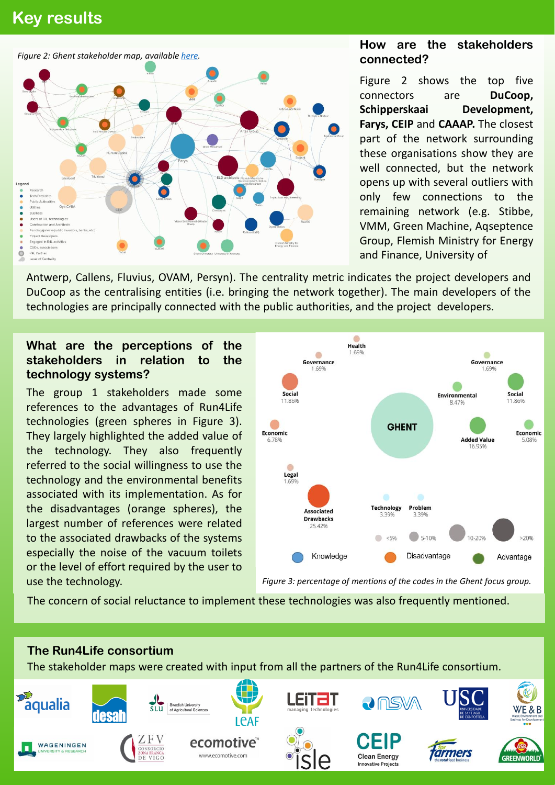# **Key results Key results**



## **How are the stakeholders connected?**

Figure 2 shows the top five connectors are **DuCoop, Schipperskaai Development, Farys, CEIP** and **CAAAP.** The closest part of the network surrounding these organisations show they are well connected, but the network opens up with several outliers with only few connections to the remaining network (e.g. Stibbe, VMM, Green Machine, Aqseptence Group, Flemish Ministry for Energy and Finance, University of

Antwerp, Callens, Fluvius, OVAM, Persyn). The centrality metric indicates the project developers and DuCoop as the centralising entities (i.e. bringing the network together). The main developers of the technologies are principally connected with the public authorities, and the project developers.

## **What are the perceptions of the stakeholders in relation to the technology systems?**

The group 1 stakeholders made some references to the advantages of Run4Life technologies (green spheres in Figure 3). They largely highlighted the added value of the technology. They also frequently referred to the social willingness to use the technology and the environmental benefits associated with its implementation. As for the disadvantages (orange spheres), the largest number of references were related to the associated drawbacks of the systems especially the noise of the vacuum toilets or the level of effort required by the user to use the technology.



*Figure 3: percentage of mentions of the codes in the Ghent focus group.*

The concern of social reluctance to implement these technologies was also frequently mentioned.

# **The Run4Life consortium**

The stakeholder maps were created with input from all the partners of the Run4Life consortium.